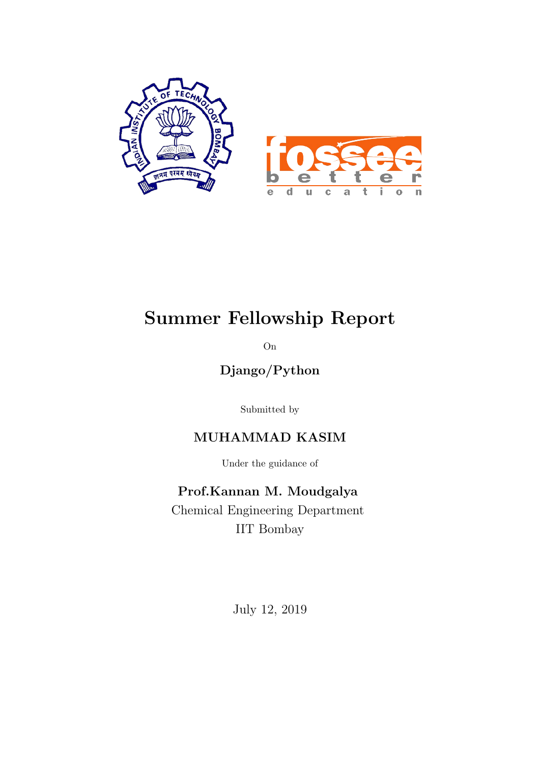

## Summer Fellowship Report

On

Django/Python

Submitted by

### MUHAMMAD KASIM

Under the guidance of

### Prof.Kannan M. Moudgalya

Chemical Engineering Department IIT Bombay

July 12, 2019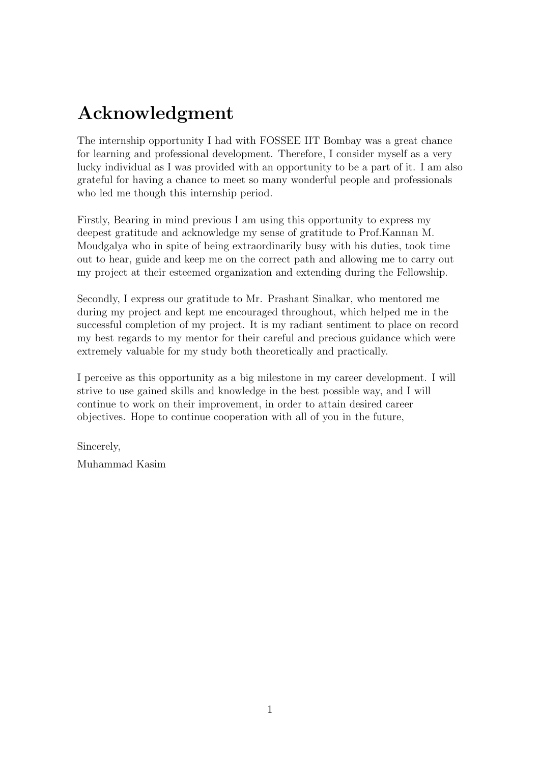# Acknowledgment

The internship opportunity I had with FOSSEE IIT Bombay was a great chance for learning and professional development. Therefore, I consider myself as a very lucky individual as I was provided with an opportunity to be a part of it. I am also grateful for having a chance to meet so many wonderful people and professionals who led me though this internship period.

Firstly, Bearing in mind previous I am using this opportunity to express my deepest gratitude and acknowledge my sense of gratitude to Prof.Kannan M. Moudgalya who in spite of being extraordinarily busy with his duties, took time out to hear, guide and keep me on the correct path and allowing me to carry out my project at their esteemed organization and extending during the Fellowship.

Secondly, I express our gratitude to Mr. Prashant Sinalkar, who mentored me during my project and kept me encouraged throughout, which helped me in the successful completion of my project. It is my radiant sentiment to place on record my best regards to my mentor for their careful and precious guidance which were extremely valuable for my study both theoretically and practically.

I perceive as this opportunity as a big milestone in my career development. I will strive to use gained skills and knowledge in the best possible way, and I will continue to work on their improvement, in order to attain desired career objectives. Hope to continue cooperation with all of you in the future,

Sincerely, Muhammad Kasim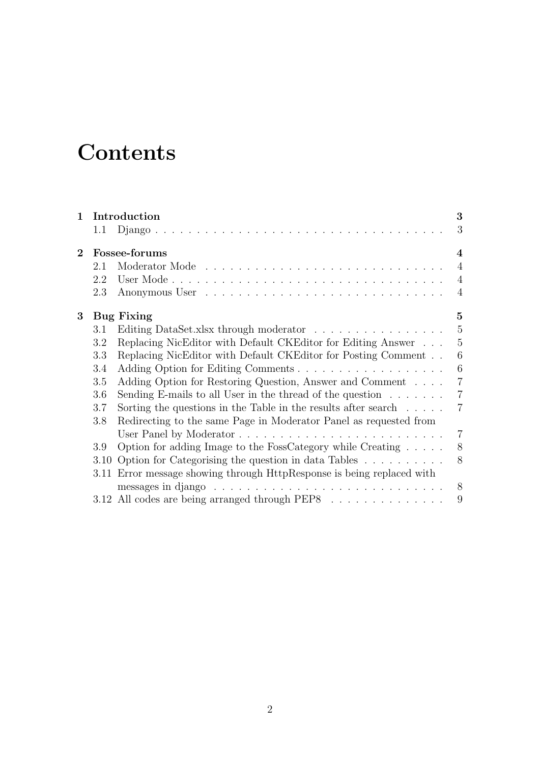# **Contents**

| $\mathbf{1}$ | Introduction         |                                                                                            | 3                        |
|--------------|----------------------|--------------------------------------------------------------------------------------------|--------------------------|
|              | 1.1                  |                                                                                            | 3                        |
| $\bf{2}$     | <b>Fossee-forums</b> |                                                                                            | $\overline{\mathcal{A}}$ |
|              | 2.1                  |                                                                                            | $\overline{4}$           |
|              | 2.2                  |                                                                                            | $\overline{4}$           |
|              | 2.3                  |                                                                                            | $\overline{4}$           |
| 3            |                      | <b>Bug Fixing</b>                                                                          | 5                        |
|              | 3.1                  | Editing DataSet.xlsx through moderator                                                     | $\overline{5}$           |
|              | 3.2                  | Replacing NicEditor with Default CKEditor for Editing Answer                               | $5\overline{)}$          |
|              | 3.3                  | Replacing NicEditor with Default CKEditor for Posting Comment                              | 6                        |
|              | 3.4                  |                                                                                            | 6                        |
|              | 3.5                  | Adding Option for Restoring Question, Answer and Comment                                   | $\overline{7}$           |
|              | 3.6                  | Sending E-mails to all User in the thread of the question $\dots \dots$                    | $\overline{7}$           |
|              | 3.7                  | Sorting the questions in the Table in the results after search $\dots$ .                   | $\overline{7}$           |
|              | 3.8                  | Redirecting to the same Page in Moderator Panel as requested from                          |                          |
|              |                      |                                                                                            | $\overline{7}$           |
|              | 3.9                  | Option for adding Image to the FossCategory while Creating                                 | 8                        |
|              | 3.10                 | Option for Categorising the question in data Tables                                        | 8                        |
|              |                      | 3.11 Error message showing through HttpResponse is being replaced with                     |                          |
|              |                      | messages in django $\ldots \ldots \ldots \ldots \ldots \ldots \ldots \ldots \ldots \ldots$ | 8                        |
|              |                      | 3.12 All codes are being arranged through PEP8                                             | 9                        |
|              |                      |                                                                                            |                          |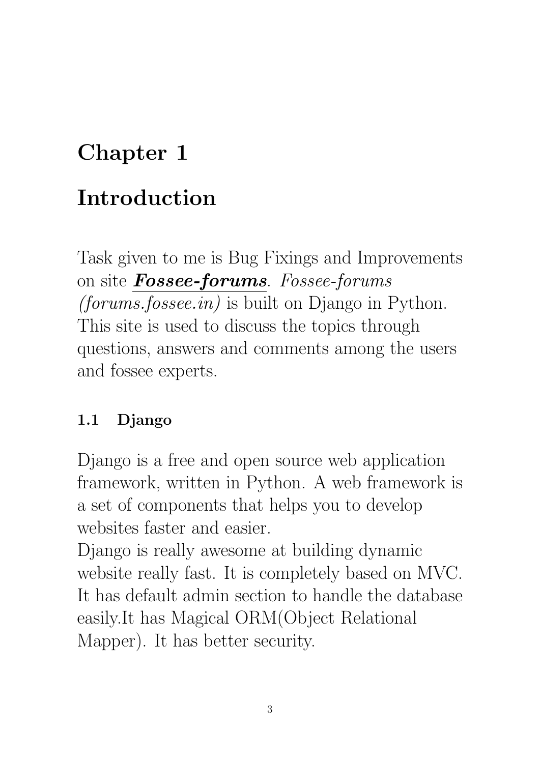# Chapter 1

# Introduction

Task given to me is Bug Fixings and Improvements on site **Fossee-forums**. Fossee-forums (forums.fossee.in) is built on Django in Python. This site is used to discuss the topics through questions, answers and comments among the users and fossee experts.

### 1.1 Django

Django is a free and open source web application framework, written in Python. A web framework is a set of components that helps you to develop websites faster and easier.

Django is really awesome at building dynamic website really fast. It is completely based on MVC. It has default admin section to handle the database easily.It has Magical ORM(Object Relational Mapper). It has better security.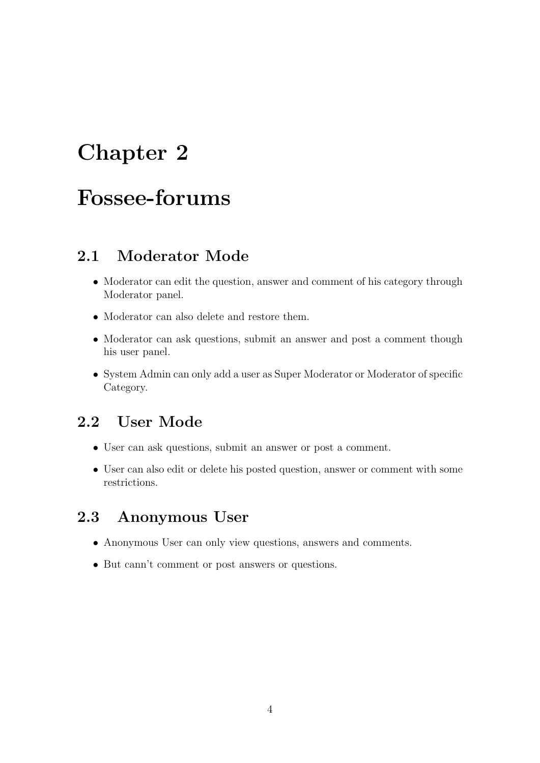## Chapter 2

## Fossee-forums

### 2.1 Moderator Mode

- Moderator can edit the question, answer and comment of his category through Moderator panel.
- Moderator can also delete and restore them.
- Moderator can ask questions, submit an answer and post a comment though his user panel.
- System Admin can only add a user as Super Moderator or Moderator of specific Category.

#### 2.2 User Mode

- User can ask questions, submit an answer or post a comment.
- User can also edit or delete his posted question, answer or comment with some restrictions.

### 2.3 Anonymous User

- Anonymous User can only view questions, answers and comments.
- But cann't comment or post answers or questions.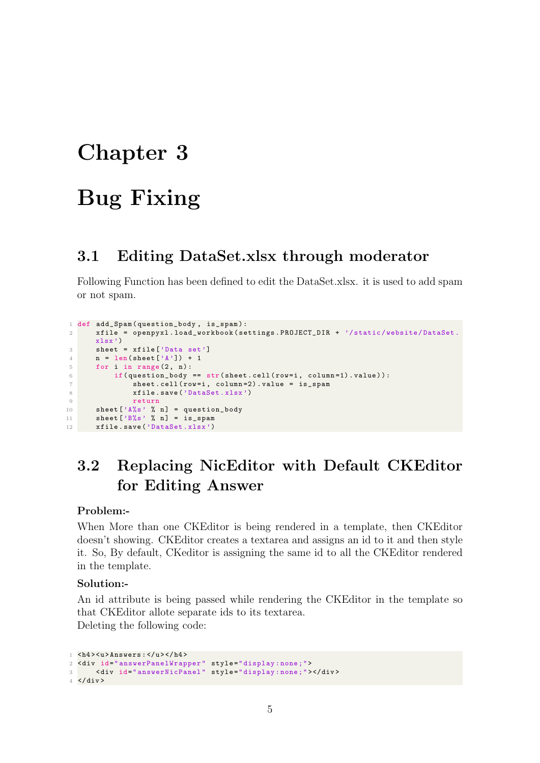# Chapter 3

# Bug Fixing

#### 3.1 Editing DataSet.xlsx through moderator

Following Function has been defined to edit the DataSet.xlsx. it is used to add spam or not spam.

```
1 def add_Spam (question_body, is_spam):
2 xfile = openpyxl . load_workbook ( settings . PROJECT_DIR + '/ static / website / DataSet .
      x \mid sx')
3 sheet = xfile ['Data set ']
4 n = len(sheet['A')') + 15 for i in range (2, n):
6 if(question_body == str(sheet.cell(row=i, column=1).value):
7 sheet.cell (row=i, column=2).value = is_spam
8 xfile . save ('DataSet . xlsx ')
9 return<br>10 sheet [{}^{\prime} A%s<sup>'</sup>, %
    sheet [{}^{\prime} A%s' % n] = question_body
11 sheet ['B\%s' % n] = is_spam
12 xfile.save ('DataSet.xlsx')
```
### 3.2 Replacing NicEditor with Default CKEditor for Editing Answer

#### Problem:-

When More than one CKEditor is being rendered in a template, then CKEditor doesn't showing. CKEditor creates a textarea and assigns an id to it and then style it. So, By default, CKeditor is assigning the same id to all the CKEditor rendered in the template.

#### Solution:-

An id attribute is being passed while rendering the CKEditor in the template so that CKEditor allote separate ids to its textarea. Deleting the following code:

```
1 \langle h4 \rangle \langle u \rangle Answers: \langle u \rangle \langle h4 \rangle2 < div id=" answerPanelWrapper " style =" display : none ;">
3 < div id=" answerNicPanel " style =" display : none ;" ></ div >
4 \times / \text{div}
```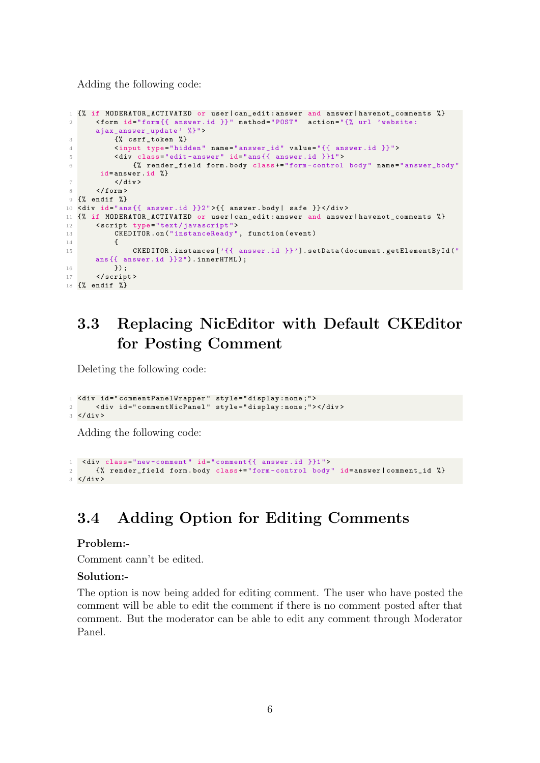Adding the following code:

```
1 {% if MODERATOR_ACTIVATED or user | can_edit : answer and answer | havenot_comments %}
2 <form id="form{{ answer.id }}" method="POST" action="{% url 'website:
       ajax_answer_update ' %}">
3 {% csrf_token %}
4 <input type="hidden" name="answer_id" value="{{ answer.id }}">
5 < div class ="edit - answer " id=" ans {{ answer .id }}1 ">
6 {% render_field form . body class +="form - control body " name =" answer_body "
        id=answer.id %}
           \langle div >
8 </ form >
9 {% endif %}
10 \langle div id="ans{{ answer.id }}2">{{ answer.body| safe }}\langle/div>
11 {% if MODERATOR_ACTIVATED or user | can_edit : answer and answer | havenot_comments %}
12 < script type =" text / javascript ">
13 CKEDITOR. on ("instanceReady", function (event)
14 \left\{ \begin{array}{ccc} 1 & 1 & 1 \\ 1 & 1 & 1 \end{array} \right\}15 CKEDITOR.instances ['{{ answer.id }}'].setData (document.getElementById ("
       ans { { answer.id } } 2" ) . innerHTML ) ;
16 \t} }) ;
17 </script>
18 \{% endif \chi<sup>3</sup>
```
### 3.3 Replacing NicEditor with Default CKEditor for Posting Comment

Deleting the following code:

```
1 < div id =" commentPanelWrapper " style =" display : none ;" >
2 <div id="commentNicPanel" style="display:none;"></div>
3 \times / div >
```
Adding the following code:

```
1 <div class="new-comment" id=" comment {{ answer.id }}1"><br>2 {% render field form.body class+="form-control body"
        2 {% render_field form . body class +="form - control body " id= answer | comment_id %}
3 \times / \text{div}
```
### 3.4 Adding Option for Editing Comments

#### Problem:-

Comment cann't be edited.

#### Solution:-

The option is now being added for editing comment. The user who have posted the comment will be able to edit the comment if there is no comment posted after that comment. But the moderator can be able to edit any comment through Moderator Panel.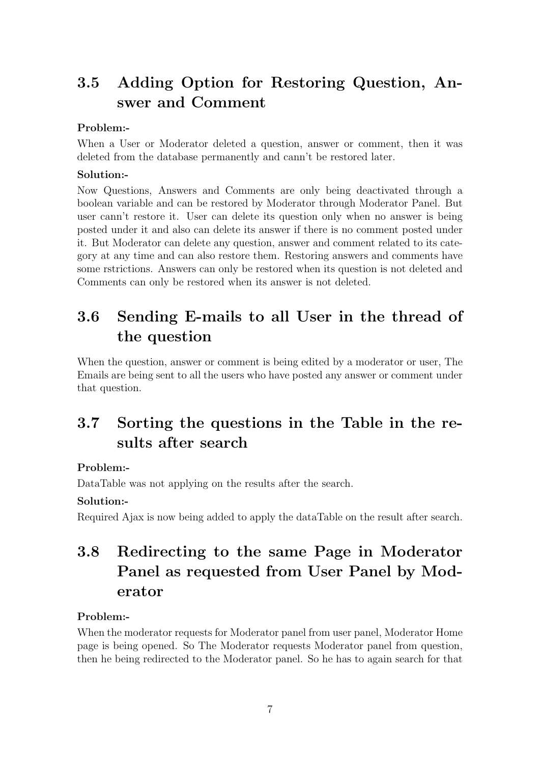### 3.5 Adding Option for Restoring Question, Answer and Comment

#### Problem:-

When a User or Moderator deleted a question, answer or comment, then it was deleted from the database permanently and cann't be restored later.

#### Solution:-

Now Questions, Answers and Comments are only being deactivated through a boolean variable and can be restored by Moderator through Moderator Panel. But user cann't restore it. User can delete its question only when no answer is being posted under it and also can delete its answer if there is no comment posted under it. But Moderator can delete any question, answer and comment related to its category at any time and can also restore them. Restoring answers and comments have some rstrictions. Answers can only be restored when its question is not deleted and Comments can only be restored when its answer is not deleted.

### 3.6 Sending E-mails to all User in the thread of the question

When the question, answer or comment is being edited by a moderator or user, The Emails are being sent to all the users who have posted any answer or comment under that question.

### 3.7 Sorting the questions in the Table in the results after search

#### Problem:-

DataTable was not applying on the results after the search.

#### Solution:-

Required Ajax is now being added to apply the dataTable on the result after search.

### 3.8 Redirecting to the same Page in Moderator Panel as requested from User Panel by Moderator

#### Problem:-

When the moderator requests for Moderator panel from user panel, Moderator Home page is being opened. So The Moderator requests Moderator panel from question, then he being redirected to the Moderator panel. So he has to again search for that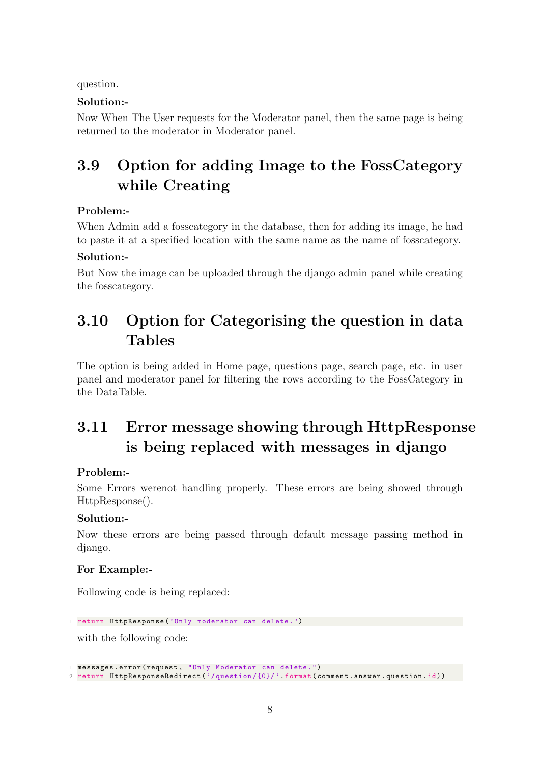question.

#### Solution:-

Now When The User requests for the Moderator panel, then the same page is being returned to the moderator in Moderator panel.

### 3.9 Option for adding Image to the FossCategory while Creating

#### Problem:-

When Admin add a fosscategory in the database, then for adding its image, he had to paste it at a specified location with the same name as the name of fosscategory.

#### Solution:-

But Now the image can be uploaded through the django admin panel while creating the fosscategory.

### 3.10 Option for Categorising the question in data Tables

The option is being added in Home page, questions page, search page, etc. in user panel and moderator panel for filtering the rows according to the FossCategory in the DataTable.

### 3.11 Error message showing through HttpResponse is being replaced with messages in django

#### Problem:-

Some Errors werenot handling properly. These errors are being showed through HttpResponse().

#### Solution:-

Now these errors are being passed through default message passing method in django.

#### For Example:-

Following code is being replaced:

```
1 return HttpResponse ('Only moderator can delete .')
```
with the following code:

```
1 messages . error ( request , " Only Moderator can delete .")
2 return HttpResponseRedirect ('/ question /{0}/ '. format ( comment . answer . question .id))
```